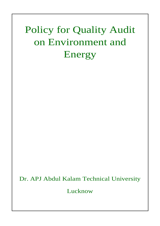# Policy for Quality Audit on Environment and Energy

# Dr. APJ Abdul Kalam Technical University

Lucknow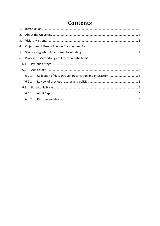# **Contents**

| 3. |  |  |  |  |
|----|--|--|--|--|
|    |  |  |  |  |
| 5. |  |  |  |  |
|    |  |  |  |  |
|    |  |  |  |  |
|    |  |  |  |  |
|    |  |  |  |  |
|    |  |  |  |  |
|    |  |  |  |  |
|    |  |  |  |  |
|    |  |  |  |  |
|    |  |  |  |  |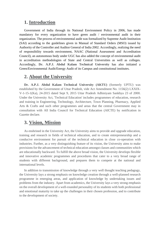### <span id="page-2-0"></span>**1. Introduction**

Government of India through its National Environment Policy in 2006, has made mandatory for every organization to have green audit / environmental audit in their organization. The process of environmental audit was formalized by Supreme Audit Institution (SAI) according to the guidelines given in Manual of Standard Orders (MSO) issued by Authority of the Controller and Auditor General of India 2002. Accordingly, realizing the need of responsibility towards environment, NAAC (National Assessment and Accreditation Council), an autonomous body under UGC has also added the concept of environmental audit in accreditation methodologies of State and Central Universities as well as colleges. Accordingly, **Dr. A.P.J. Abdul Kalam Technical University** has also initiated a Green/Environmental Audit/Energy Audit of its Campus and constitutional institutes.

## <span id="page-2-1"></span>**2. About the University**

**Dr. A.P.J. Abdul Kalam Technical University (AKTU)** (formerly UPTU) was established by the Government of Uttar Pradesh, vide Act Amendment No. 1156(2) LXXIX-V-1-15-1(Ka), 24-2015 dated Sept 9, 2015 Uttar Pradesh Adhiniyam Sankhya 23 of 2000. Under the University Act, 'Technical Education' includes programmes of education, research and training in Engineering, Technology, Architecture, Town Planning, Pharmacy, Applied Arts & Crafts and such other programmes and areas that the central Government may in consultation with All India Council for Technical Education (AICTE) by notification in Gazette declare.

## <span id="page-2-2"></span>**3. Vision, Mission**

As enshrined in the University Act, the University aims to provide and upgrade education, training and research in fields of technical education, and to create entrepreneurship and a conducive environment for pursuit of the technical education in close co-operation with industries. Further, as a very distinguishing feature of its vision, the University aims to make provisions for the advancement of technical education amongst classes and communities which are educationally backward. To fulfill the above broad vision, the University develops flexible and innovative academic programmes and procedures that cater to a very broad range of students with different background, and prepares them to compete at the national and international levels.

In addition to transmission of knowledge through a very well thought teaching pedagogy, the University lays a strong emphasis on knowledge creation through a well-planned research programme in emerging areas, and application of knowledge by undertaking issues and problems from the industry. Apart from academics, the University lays a very strong emphasis on the overall development of a well-rounded personality of its students with both professional and emotional maturity to take up the challenges in their chosen profession, and to contribute to the development of society.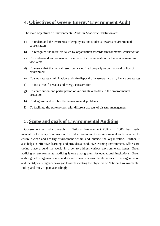## <span id="page-3-0"></span>**4. Objectives of Green/ Energy/ Environment Audit**

The main objectives of Environmental Audit in Academic Institution are:

- a) To understand the awareness of employees and students towards environmental conservation
- b) To recognize the initiative taken by organization towards environmental conservation
- c) To understand and recognize the effects of an organization on the environment and vice versa
- d) To ensure that the natural resources are utilized properly as per national policy of environment
- e) To study waste minimization and safe disposal of waste particularly hazardous wastes
- f) To initiatives for water and energy conservation
- g) To contribution and participation of various stakeholders in the environmental protection
- h) To diagnose and resolve the environmental problems
- i) To facilitate the stakeholders with different aspects of disaster management

## <span id="page-3-1"></span>**5. Scope and goals of Environmental Auditing**

Government of India through its National Environment Policy in 2006, has made mandatory for every organization to conduct green audit / environmental audit in order to ensure a clean and healthy environment within and outside the organization. Further, it also helps in effective learning and provides a conducive learning environment. Efforts are taking place around the world in order to address various environmental issues. Green auditing or environmental auditing is one among them for educational institutions. Green auditing helps organization to understand various environmental issues of the organization and identify existing lacuna or gap towards meeting the objective of National Environmental Policy and thus, to plan accordingly.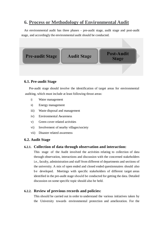## <span id="page-4-0"></span>**6. Process or Methodology of Environmental Audit**

An environmental audit has three phases - pre-audit stage, audit stage and post-audit stage, and accordingly the environmental audit should be conducted.



#### <span id="page-4-1"></span>**6.1. Pre-audit Stage**

Pre-audit stage should involve the identification of target areas for environmental auditing, which must include at least following thrust areas:

- i) Water management
- ii) Energy management
- iii) Waste disposal and management
- iv) Environmental Awareness
- v) Green cover related activities
- vi) Involvement of nearby villages/society
- vii) Disaster related awareness

#### <span id="page-4-2"></span>**6.2. Audit Stage**

#### <span id="page-4-3"></span>**6.2.1. Collection of data through observation and interaction:**

This stage of the Audit involved the activities relating to collection of data through observation, interactions and discussion with the concerned stakeholders i.e., faculty, administration and staff from different of departments and sections of the university. A mix of open ended and closed ended questionnaires should also b e developed. Meetings with specific stakeholders of different target areas identified in the pre-audit stage should be conducted for getting the data. Detailed discussion on some specific topic should also be held.

#### <span id="page-4-4"></span>**6.2.2. Review of previous records and policies:**

This should be carried out in order to understand the various initiatives taken by the University towards environmental protection and amelioration. For the